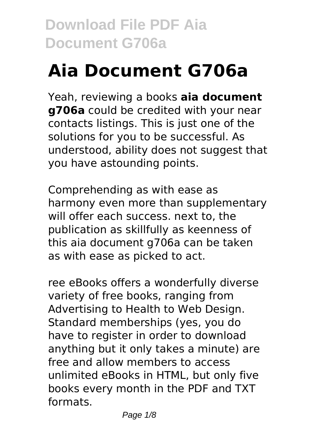# **Aia Document G706a**

Yeah, reviewing a books **aia document g706a** could be credited with your near contacts listings. This is just one of the solutions for you to be successful. As understood, ability does not suggest that you have astounding points.

Comprehending as with ease as harmony even more than supplementary will offer each success. next to, the publication as skillfully as keenness of this aia document g706a can be taken as with ease as picked to act.

ree eBooks offers a wonderfully diverse variety of free books, ranging from Advertising to Health to Web Design. Standard memberships (yes, you do have to register in order to download anything but it only takes a minute) are free and allow members to access unlimited eBooks in HTML, but only five books every month in the PDF and TXT formats.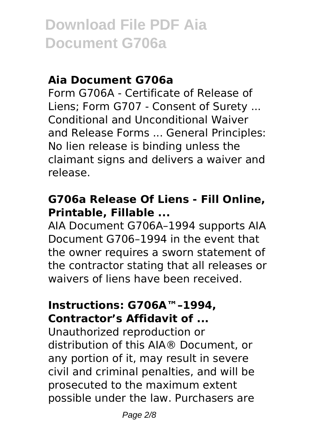#### **Aia Document G706a**

Form G706A - Certificate of Release of Liens; Form G707 - Consent of Surety ... Conditional and Unconditional Waiver and Release Forms ... General Principles: No lien release is binding unless the claimant signs and delivers a waiver and release.

# **G706a Release Of Liens - Fill Online, Printable, Fillable ...**

AIA Document G706A–1994 supports AIA Document G706–1994 in the event that the owner requires a sworn statement of the contractor stating that all releases or waivers of liens have been received.

#### **Instructions: G706A™–1994, Contractor's Affidavit of ...**

Unauthorized reproduction or distribution of this AIA® Document, or any portion of it, may result in severe civil and criminal penalties, and will be prosecuted to the maximum extent possible under the law. Purchasers are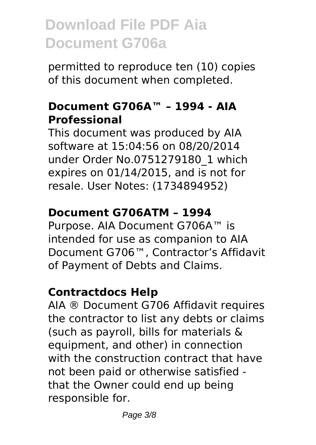permitted to reproduce ten (10) copies of this document when completed.

#### **Document G706A™ – 1994 - AIA Professional**

This document was produced by AIA software at 15:04:56 on 08/20/2014 under Order No.0751279180\_1 which expires on 01/14/2015, and is not for resale. User Notes: (1734894952)

# **Document G706ATM – 1994**

Purpose. AIA Document G706A™ is intended for use as companion to AIA Document G706™, Contractor's Affidavit of Payment of Debts and Claims.

# **Contractdocs Help**

AIA ® Document G706 Affidavit requires the contractor to list any debts or claims (such as payroll, bills for materials & equipment, and other) in connection with the construction contract that have not been paid or otherwise satisfied that the Owner could end up being responsible for.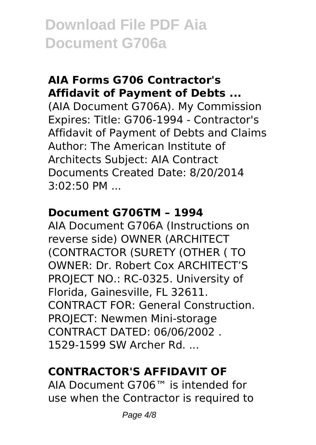# **AIA Forms G706 Contractor's Affidavit of Payment of Debts ...**

(AIA Document G706A). My Commission Expires: Title: G706-1994 - Contractor's Affidavit of Payment of Debts and Claims Author: The American Institute of Architects Subject: AIA Contract Documents Created Date: 8/20/2014 3:02:50 PM ...

#### **Document G706TM – 1994**

AIA Document G706A (Instructions on reverse side) OWNER (ARCHITECT (CONTRACTOR (SURETY (OTHER ( TO OWNER: Dr. Robert Cox ARCHITECT'S PROJECT NO.: RC-0325. University of Florida, Gainesville, FL 32611. CONTRACT FOR: General Construction. PROJECT: Newmen Mini-storage CONTRACT DATED: 06/06/2002 . 1529-1599 SW Archer Rd. ...

# **CONTRACTOR'S AFFIDAVIT OF**

AIA Document G706™ is intended for use when the Contractor is required to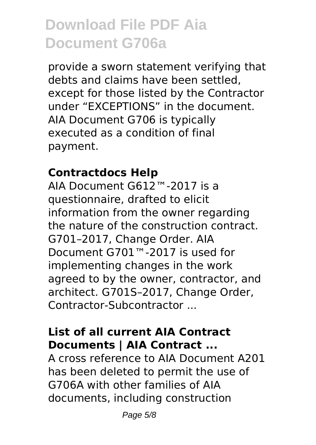provide a sworn statement verifying that debts and claims have been settled, except for those listed by the Contractor under "EXCEPTIONS" in the document. AIA Document G706 is typically executed as a condition of final payment.

#### **Contractdocs Help**

AIA Document G612™-2017 is a questionnaire, drafted to elicit information from the owner regarding the nature of the construction contract. G701–2017, Change Order. AIA Document G701™-2017 is used for implementing changes in the work agreed to by the owner, contractor, and architect. G701S–2017, Change Order, Contractor-Subcontractor ...

# **List of all current AIA Contract Documents | AIA Contract ...**

A cross reference to AIA Document A201 has been deleted to permit the use of G706A with other families of AIA documents, including construction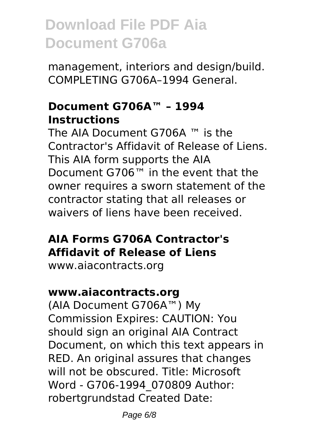management, interiors and design/build. COMPLETING G706A–1994 General.

#### **Document G706A™ – 1994 Instructions**

The AIA Document G706A ™ is the Contractor's Affidavit of Release of Liens. This AIA form supports the AIA Document G706™ in the event that the owner requires a sworn statement of the contractor stating that all releases or waivers of liens have been received.

# **AIA Forms G706A Contractor's Affidavit of Release of Liens**

www.aiacontracts.org

# **www.aiacontracts.org**

(AIA Document G706A™) My Commission Expires: CAUTION: You should sign an original AIA Contract Document, on which this text appears in RED. An original assures that changes will not be obscured. Title: Microsoft Word - G706-1994\_070809 Author: robertgrundstad Created Date: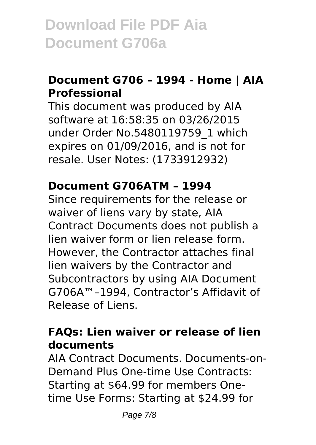# **Document G706 – 1994 - Home | AIA Professional**

This document was produced by AIA software at 16:58:35 on 03/26/2015 under Order No.5480119759\_1 which expires on 01/09/2016, and is not for resale. User Notes: (1733912932)

#### **Document G706ATM – 1994**

Since requirements for the release or waiver of liens vary by state, AIA Contract Documents does not publish a lien waiver form or lien release form. However, the Contractor attaches final lien waivers by the Contractor and Subcontractors by using AIA Document G706A™–1994, Contractor's Affidavit of Release of Liens.

# **FAQs: Lien waiver or release of lien documents**

AIA Contract Documents. Documents-on-Demand Plus One-time Use Contracts: Starting at \$64.99 for members Onetime Use Forms: Starting at \$24.99 for